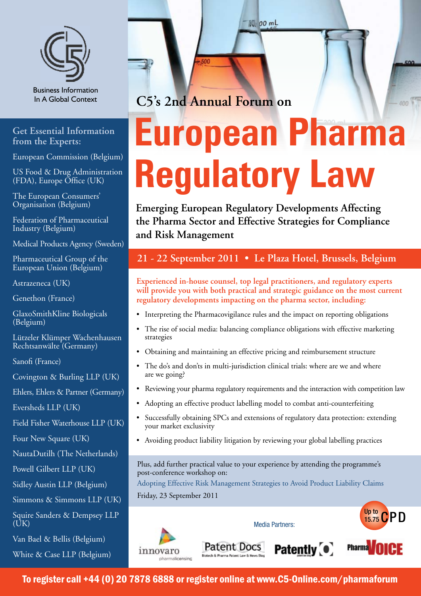

Business Information In A Global Context

### **Get Essential Information from the Experts:**

European Commission (Belgium)

US Food & Drug Administration (FDA), Europe Office (UK)

The European Consumers' Organisation (Belgium)

Federation of Pharmaceutical Industry (Belgium)

Medical Products Agency (Sweden)

Pharmaceutical Group of the European Union (Belgium)

Astrazeneca (UK)

Genethon (France)

GlaxoSmithKline Biologicals (Belgium)

Lützeler Klümper Wachenhausen Rechtsanwälte (Germany)

Sanofi (France)

Covington & Burling LLP (UK)

Ehlers, Ehlers & Partner (Germany)

Eversheds LLP (UK)

Field Fisher Waterhouse LLP (UK)

Four New Square (UK)

NautaDutilh (The Netherlands)

Powell Gilbert LLP (UK)

Sidley Austin LLP (Belgium)

Simmons & Simmons LLP (UK)

Squire Sanders & Dempsey LLP  $(UK)$ 

Van Bael & Bellis (Belgium)

White & Case LLP (Belgium)

**C5's 2nd Annual Forum on**

# **European Pharma Regulatory Law**

 $400$ 

**1801** 00 mL

**Emerging European Regulatory Developments Affecting the Pharma Sector and Effective Strategies for Compliance and Risk Management**

## **21 - 22 September 2011 • Le Plaza Hotel, Brussels, Belgium**

**Experienced in-house counsel, top legal practitioners, and regulatory experts will provide you with both practical and strategic guidance on the most current regulatory developments impacting on the pharma sector, including:** 

- Interpreting the Pharmacovigilance rules and the impact on reporting obligations
- The rise of social media: balancing compliance obligations with effective marketing strategies
- • Obtaining and maintaining an effective pricing and reimbursement structure
- The do's and don'ts in multi-jurisdiction clinical trials: where are we and where are we going?
- Reviewing your pharma regulatory requirements and the interaction with competition law
- Adopting an effective product labelling model to combat anti-counterfeiting
- Successfully obtaining SPCs and extensions of regulatory data protection: extending your market exclusivity
- Avoiding product liability litigation by reviewing your global labelling practices

Plus, add further practical value to your experience by attending the programme's post-conference workshop on:

Adopting Effective Risk Management Strategies to Avoid Product Liability Claims Friday, 23 September 2011



To register call +44 (0) 20 7878 6888 or register online at www.C5-Online.com/pharmaforum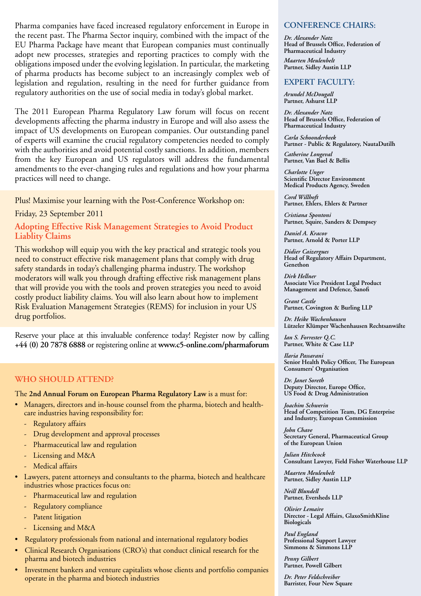Pharma companies have faced increased regulatory enforcement in Europe in the recent past. The Pharma Sector inquiry, combined with the impact of the EU Pharma Package have meant that European companies must continually adopt new processes, strategies and reporting practices to comply with the obligations imposed under the evolving legislation. In particular, the marketing of pharma products has become subject to an increasingly complex web of legislation and regulation, resulting in the need for further guidance from regulatory authorities on the use of social media in today's global market.

The 2011 European Pharma Regulatory Law forum will focus on recent developments affecting the pharma industry in Europe and will also assess the impact of US developments on European companies. Our outstanding panel of experts will examine the crucial regulatory competencies needed to comply with the authorities and avoid potential costly sanctions. In addition, members from the key European and US regulators will address the fundamental amendments to the ever-changing rules and regulations and how your pharma practices will need to change.

#### Plus! Maximise your learning with the Post-Conference Workshop on:

Friday, 23 September 2011

#### **Adopting Effective Risk Management Strategies to Avoid Product Liablity Claims**

This workshop will equip you with the key practical and strategic tools you need to construct effective risk management plans that comply with drug safety standards in today's challenging pharma industry. The workshop moderators will walk you through drafting effective risk management plans that will provide you with the tools and proven strategies you need to avoid costly product liability claims. You will also learn about how to implement Risk Evaluation Management Strategies (REMS) for inclusion in your US drug portfolios.

Reserve your place at this invaluable conference today! Register now by calling **+44 (0) 20 7878 6888** or registering online at **www.c5-online.com/pharmaforum**

#### **WHO SHOULD ATTEND?**

The **2nd Annual Forum on European Pharma Regulatory Law** is a must for:

- • Managers, directors and in-house counsel from the pharma, biotech and healthcare industries having responsibility for:
	- Regulatory affairs
	- Drug development and approval processes
	- Pharmaceutical law and regulation
	- Licensing and M&A
	- Medical affairs
- • Lawyers, patent attorneys and consultants to the pharma, biotech and healthcare industries whose practices focus on:
	- Pharmaceutical law and regulation
	- Regulatory compliance
	- Patent litigation
	- Licensing and M&A
- • Regulatory professionals from national and international regulatory bodies
- Clinical Research Organisations (CRO's) that conduct clinical research for the pharma and biotech industries
- Investment bankers and venture capitalists whose clients and portfolio companies operate in the pharma and biotech industries

#### **CONFERENCE CHAIRS:**

*Dr. Alexander Natz*  **Head of Brussels Office, Federation of Pharmaceutical Industry**  *Maarten Meulenbelt*  **Partner, Sidley Austin LLP**

#### **EXPERT FACULTY:**

*Arundel McDougall*  **Partner, Ashurst LLP** 

*Dr. Alexander Natz*  **Head of Brussels Office, Federation of Pharmaceutical Industry** 

*Carla Schoonderbeek*  **Partner - Public & Regulatory, NautaDutilh** 

*Catherine Longeval*  **Partner, Van Bael & Bellis** 

*Charlotte Unger*  **Scientific Director Environment Medical Products Agency, Sweden** 

*Cord Willhoft*  **Partner, Ehlers, Ehlers & Partner** 

*Cristiana Spontoni*  **Partner, Squire, Sanders & Dempsey** 

*Daniel A. Kracov*  **Partner, Arnold & Porter LLP**

*Didier Caizergues*  **Head of Regulatory Affairs Department, Genethon**

*Dirk Hellner*  **Associate Vice President Legal Product Management and Defence, Sanofi** 

*Grant Castle*  **Partner, Covington & Burling LLP** 

*Dr. Heike Wachenhausen*  **Lützeler Klümper Wachenhausen Rechtsanwälte**

*Ian S. Forrester Q.C.*  **Partner, White & Case LLP** 

*Ilaria Passarani*  **Senior Health Policy Officer, The European Consumers' Organisation** 

*Dr. Janet Soreth*  **Deputy Director, Europe Office, US Food & Drug Administration**

*Joachim Schwerin*  **Head of Competition Team, DG Enterprise and Industry, European Commission** 

*John Chave*  **Secretary General, Pharmaceutical Group of the European Union** 

*Julian Hitchcock*  **Consultant Lawyer, Field Fisher Waterhouse LLP** 

*Maarten Meulenbelt*  **Partner, Sidley Austin LLP** 

*Neill Blundell*  **Partner, Eversheds LLP**

*Olivier Lemaire*  **Director - Legal Affairs, GlaxoSmithKline Biologicals** 

*Paul England*  **Professional Support Lawyer Simmons & Simmons LLP**

*Penny Gilbert*  **Partner, Powell Gilbert** 

*Dr. Peter Feldschreiber*  **Barrister, Four New Square**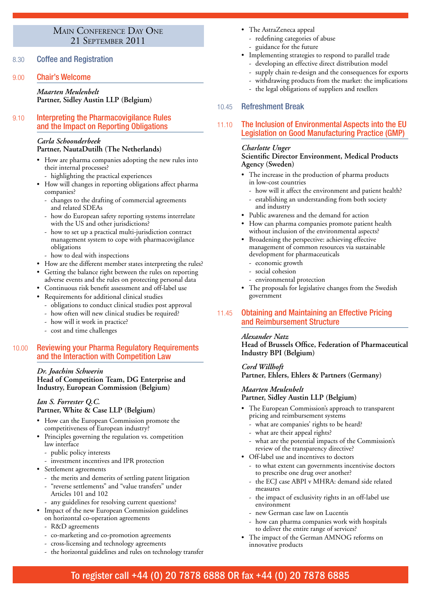# MAIN CONFERENCE DAY ONE<br>21 SEPTEMBER 2011

8.30 Coffee and Registration

#### 9.00 Chair's Welcome

#### *Maarten Meulenbelt*  **Partner, Sidley Austin LLP (Belgium)**

#### 9.10 Interpreting the Pharmacovigilance Rules and the Impact on Reporting Obligations

#### *Carla Schoonderbeek*

#### **Partner, NautaDutilh (The Netherlands)**

- How are pharma companies adopting the new rules into their internal processes?
	- highlighting the practical experiences
- • How will changes in reporting obligations affect pharma companies?
	- changes to the drafting of commercial agreements and related SDEAs
	- how do European safety reporting systems interrelate with the US and other jurisdictions?
	- how to set up a practical multi-jurisdiction contract management system to cope with pharmacovigilance obligations
	- how to deal with inspections
- How are the different member states interpreting the rules?
- Getting the balance right between the rules on reporting adverse events and the rules on protecting personal data
- Continuous risk benefit assessment and off-label use
- Requirements for additional clinical studies
- obligations to conduct clinical studies post approval
- how often will new clinical studies be required?
- how will it work in practice?
- cost and time challenges

#### 10.00 Reviewing your Pharma Regulatory Requirements and the Interaction with Competition Law

#### *Dr. Joachim Schwerin*

**Head of Competition Team, DG Enterprise and Industry, European Commission (Belgium)**

#### *Ian S. Forrester Q.C.*  **Partner, White & Case LLP (Belgium)**

- How can the European Commission promote the competitiveness of European industry?
- Principles governing the regulation vs. competition law interface
	- public policy interests
- investment incentives and IPR protection
- Settlement agreements
	- the merits and demerits of settling patent litigation
	- "reverse settlements" and "value transfers" under Articles 101 and 102
	- any guidelines for resolving current questions?
- Impact of the new European Commission guidelines
- on horizontal co-operation agreements
	- R&D agreements
	- co-marketing and co-promotion agreements
	- cross-licensing and technology agreements
	- the horizontal guidelines and rules on technology transfer
- The AstraZeneca appeal
	- redefining categories of abuse
- guidance for the future
- • Implementing strategies to respond to parallel trade
	- developing an effective direct distribution model
	- supply chain re-design and the consequences for exports
	- withdrawing products from the market: the implications
	- the legal obligations of suppliers and resellers

#### 10.45 Refreshment Break

#### 11.10 The Inclusion of Environmental Aspects into the EU Legislation on Good Manufacturing Practice (GMP)

#### *Charlotte Unger*

#### **Scientific Director Environment, Medical Products Agency (Sweden)**

- The increase in the production of pharma products in low-cost countries
	- how will it affect the environment and patient health?
	- establishing an understanding from both society and industry
- Public awareness and the demand for action
- How can pharma companies promote patient health without inclusion of the environmental aspects?
- Broadening the perspective: achieving effective management of common resources via sustainable development for pharmaceuticals
- economic growth
- social cohesion
- environmental protection
- • The proposals for legislative changes from the Swedish government

#### 11.45 Obtaining and Maintaining an Effective Pricing and Reimbursement Structure

#### *Alexander Natz*

**Head of Brussels Office, Federation of Pharmaceutical Industry BPI (Belgium)**

#### *Cord Willhoft*  **Partner, Ehlers, Ehlers & Partners (Germany)**

#### *Maarten Meulenbelt*  **Partner, Sidley Austin LLP (Belgium)**

- The European Commission's approach to transparent pricing and reimbursement systems
	- what are companies' rights to be heard?
	- what are their appeal rights?
	- what are the potential impacts of the Commission's review of the transparency directive?
- • Off-label use and incentives to doctors
	- to what extent can governments incentivise doctors to prescribe one drug over another?
	- the ECJ case ABPI v MHRA: demand side related measures
	- the impact of exclusivity rights in an off-label use environment
	- new German case law on Lucentis
	- how can pharma companies work with hospitals to deliver the entire range of services?
- • The impact of the German AMNOG reforms on innovative products

## To register call +44 (0) 20 7878 6888 OR fax +44 (0) 20 7878 6885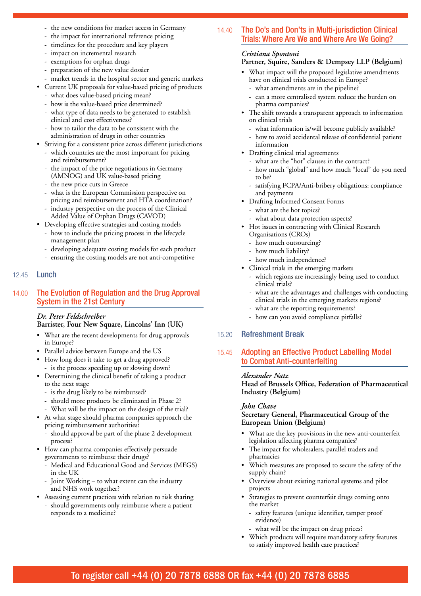- the new conditions for market access in Germany
- the impact for international reference pricing
- timelines for the procedure and key players
- impact on incremental research - exemptions for orphan drugs
- preparation of the new value dossier
- market trends in the hospital sector and generic markets
- Current UK proposals for value-based pricing of products
	- what does value-based pricing mean?
	- how is the value-based price determined?
	- what type of data needs to be generated to establish clinical and cost effectiveness?
	- how to tailor the data to be consistent with the administration of drugs in other countries
- • Striving for a consistent price across different jurisdictions - which countries are the most important for pricing
	- and reimbursement? the impact of the price negotiations in Germany (AMNOG) and UK value-based pricing
	- the new price cuts in Greece
	- what is the European Commission perspective on
	- pricing and reimbursement and HTA coordination? industry perspective on the process of the Clinical
	- Added Value of Orphan Drugs (CAVOD)
- • Developing effective strategies and costing models - how to include the pricing process in the lifecycle management plan
	- developing adequate costing models for each product
	- ensuring the costing models are not anti-competitive

#### 12.45 Lunch

#### 14.00 The Evolution of Regulation and the Drug Approval System in the 21st Century

#### *Dr. Peter Feldschreiber*  **Barrister, Four New Square, Lincolns' Inn (UK)**

- • What are the recent developments for drug approvals in Europe?
- • Parallel advice between Europe and the US
- How long does it take to get a drug approved? - is the process speeding up or slowing down?
- Determining the clinical benefit of taking a product to the next stage
	- is the drug likely to be reimbursed?
	- should more products be eliminated in Phase 2?
	- What will be the impact on the design of the trial?
- • At what stage should pharma companies approach the pricing reimbursement authorities?
	- should approval be part of the phase 2 development process?
- • How can pharma companies effectively persuade governments to reimburse their drugs?
	- Medical and Educational Good and Services (MEGS) in the UK
	- Joint Working to what extent can the industry and NHS work together?
- Assessing current practices with relation to risk sharing
- should governments only reimburse where a patient responds to a medicine?

#### 14.40 The Do's and Don'ts in Multi-jurisdiction Clinical Trials: Where Are We and Where Are We Going?

#### *Cristiana Spontoni*

#### **Partner, Squire, Sanders & Dempsey LLP (Belgium)**

- • What impact will the proposed legislative amendments have on clinical trials conducted in Europe?
	- what amendments are in the pipeline?
	- can a more centralised system reduce the burden on pharma companies?
- • The shift towards a transparent approach to information on clinical trials
	- what information is/will become publicly available?
	- how to avoid accidental release of confidential patient information
- Drafting clinical trial agreements
	- what are the "hot" clauses in the contract?
	- how much "global" and how much "local" do you need to be?
	- satisfying FCPA/Anti-bribery obligations: compliance and payments
- • Drafting Informed Consent Forms
	- what are the hot topics?
	- what about data protection aspects?
- Hot issues in contracting with Clinical Research
	- Organisations (CROs)
	- how much outsourcing?
	- how much liability?
- how much independence?
- • Clinical trials in the emerging markets
	- which regions are increasingly being used to conduct clinical trials?
	- what are the advantages and challenges with conducting clinical trials in the emerging markets regions?
	- what are the reporting requirements?
	- how can you avoid compliance pitfalls?

#### 15.20 Refreshment Break

#### 15.45 Adopting an Effective Product Labelling Model to Combat Anti-counterfeiting

#### *Alexander Natz*

**Head of Brussels Office, Federation of Pharmaceutical Industry (Belgium)**

#### *John Chave*

**Secretary General, Pharmaceutical Group of the European Union (Belgium)**

- What are the key provisions in the new anti-counterfeit legislation affecting pharma companies?
- • The impact for wholesalers, parallel traders and pharmacies
- Which measures are proposed to secure the safety of the supply chain?
- • Overview about existing national systems and pilot projects
- Strategies to prevent counterfeit drugs coming onto the market
	- safety features (unique identifier, tamper proof evidence)
	- what will be the impact on drug prices?
- • Which products will require mandatory safety features to satisfy improved health care practices?

## To register call +44 (0) 20 7878 6888 OR fax +44 (0) 20 7878 6885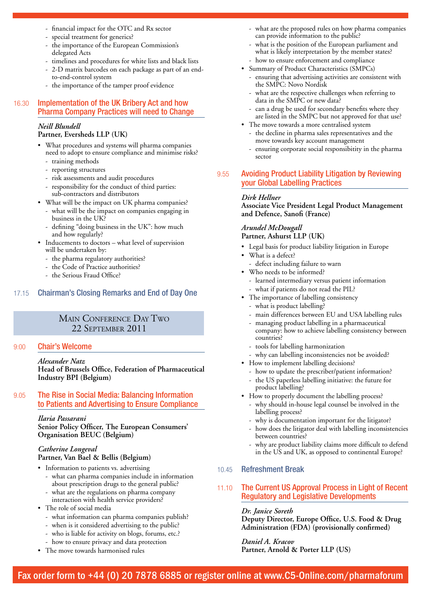- financial impact for the OTC and Rx sector
- special treatment for generics?
- the importance of the European Commission's delegated Acts
- timelines and procedures for white lists and black lists
- 2-D matrix barcodes on each package as part of an endto-end-control system
- the importance of the tamper proof evidence

#### 16.30 Implementation of the UK Bribery Act and how Pharma Company Practices will need to Change

#### *Neill Blundell*

#### **Partner, Eversheds LLP (UK)**

- What procedures and systems will pharma companies need to adopt to ensure compliance and minimise risks?
	- training methods
	- reporting structures
	- risk assessments and audit procedures - responsibility for the conduct of third parties:
	- sub-contractors and distributors
- • What will be the impact on UK pharma companies?
	- what will be the impact on companies engaging in business in the UK?
	- defining "doing business in the UK": how much and how regularly?
- Inducements to doctors what level of supervision will be undertaken by:
	- the pharma regulatory authorities?
	- the Code of Practice authorities?
	- the Serious Fraud Office?

#### 17.15 Chairman's Closing Remarks and End of Day One

# MAIN CONFERENCE DAY TWO<br>22 SEPTEMBER 2011

#### 9:00 Chair's Welcome

*Alexander Natz*  **Head of Brussels Office, Federation of Pharmaceutical Industry BPI (Belgium)**

#### 9.05 The Rise in Social Media: Balancing Information to Patients and Advertising to Ensure Compliance

*Ilaria Passarani*  **Senior Policy Officer, The European Consumers' Organisation BEUC (Belgium)**

#### *Catherine Longeval*  **Partner, Van Bael & Bellis (Belgium)**

- • Information to patients vs. advertising
	- what can pharma companies include in information about prescription drugs to the general public?
	- what are the regulations on pharma company
	- interaction with health service providers?
- The role of social media
	- what information can pharma companies publish?
	- when is it considered advertising to the public?
	- who is liable for activity on blogs, forums, etc.?
	- how to ensure privacy and data protection
- The move towards harmonised rules
- what are the proposed rules on how pharma companies can provide information to the public?
- what is the position of the European parliament and what is likely interpretation by the member states?
- how to ensure enforcement and compliance
- • Summary of Product Characteristics (SMPCs) ensuring that advertising activities are consistent with the SMPC: Novo Nordisk
	- what are the respective challenges when referring to data in the SMPC or new data?
	- can a drug be used for secondary benefits where they are listed in the SMPC but not approved for that use?
- The move towards a more centralised system
	- the decline in pharma sales representatives and the move towards key account management
	- ensuring corporate social responsibitity in the pharma sector

#### 9.55 Avoiding Product Liability Litigation by Reviewing your Global Labelling Practices

#### *Dirk Hellner*

**Associate Vice President Legal Product Management and Defence, Sanofi (France)**

#### *Arundel McDougall*  **Partner, Ashurst LLP (UK)**

- Legal basis for product liability litigation in Europe
- What is a defect?
	- defect including failure to warn
- • Who needs to be informed?
	- learned intermediary versus patient information what if patients do not read the PIL?
- The importance of labelling consistency
	- what is product labelling?
	- main differences between EU and USA labelling rules
	- managing product labelling in a pharmaceutical company: how to achieve labelling consistency between countries?
	- tools for labelling harmonization
	- why can labelling inconsistencies not be avoided?
- How to implement labelling decisions?
	- how to update the prescriber/patient information?
	- the US paperless labelling initiative: the future for product labelling?
- • How to properly document the labelling process?
	- why should in-house legal counsel be involved in the labelling process?
	- why is documentation important for the litigator?
	- how does the litigator deal with labelling inconsistencies between countries?
	- why are product liability claims more difficult to defend in the US and UK, as opposed to continental Europe?
- 10.45 Refreshment Break
- 11.10 The Current US Approval Process in Light of Recent Regulatory and Legislative Developments

#### *Dr. Janice Soreth*

**Deputy Director, Europe Office, U.S. Food & Drug Administration (FDA) (provisionally confirmed)**

#### *Daniel A. Kracov* **Partner, Arnold & Porter LLP (US)**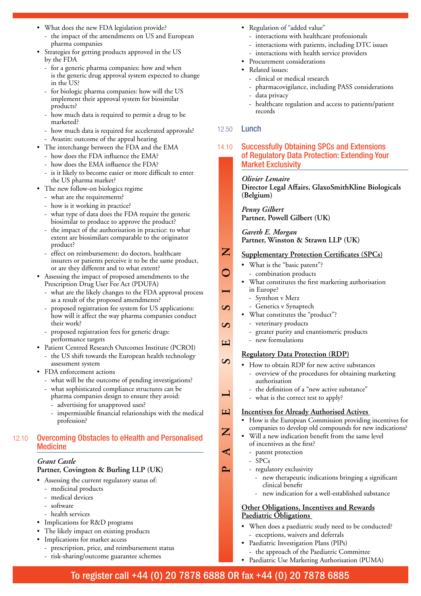- What does the new FDA legislation provide?
	- the impact of the amendments on US and European pharma companies
- Strategies for getting products approved in the US by the FDA
	- for a generic pharma companies: how and when is the generic drug approval system expected to change in the US?
	- for biologic pharma companies: how will the US implement their approval system for biosimilar products?
	- how much data is required to permit a drug to be marketed?
	- how much data is required for accelerated approvals? - Avastin: outcome of the appeal hearing
- • The interchange between the FDA and the EMA
	- how does the FDA influence the EMA?
	- how does the EMA influence the FDA?
	- is it likely to become easier or more difficult to enter the US pharma market?
- • The new follow-on biologics regime
	- what are the requirements?
	- how is it working in practice?
	- what type of data does the FDA require the generic biosimilar to produce to approve the product?
	- the impact of the authorisation in practice: to what extent are biosimilars comparable to the originator product?
	- effect on reimbursement: do doctors, healthcare insurers or patients perceive it to be the same product, or are they different and to what extent?
- Assessing the impact of proposed amendments to the Prescription Drug User Fee Act (PDUFA)
	- what are the likely changes to the FDA approval process as a result of the proposed amendments?
	- proposed registration fee system for US applications: how will it affect the way pharma companies conduct their work?
	- proposed registration fees for generic drugs: performance targets
- • Patient Centred Research Outcomes Institute (PCROI) - the US shift towards the European health technology assessment system
- FDA enforcement actions
	- what will be the outcome of pending investigations?
	- what sophisticated compliance structures can be
		- pharma companies design to ensure they avoid:
		- advertising for unapproved uses?
	- impermissible financial relationships with the medical profession?

#### 12.10 Overcoming Obstacles to eHealth and Personalised **Medicine**

#### *Grant Castle*

#### **Partner, Covington & Burling LLP (UK)**

- Assessing the current regulatory status of:
	- medicinal products
	- medical devices
	- - software
	- health services
- Implications for R&D programs
- The likely impact on existing products
- Implications for market access
	- prescription, price, and reimbursement status
	- risk-sharing/outcome guarantee schemes
- Regulation of "added value"
	- interactions with healthcare professionals
	- interactions with patients, including DTC issues
	- interactions with health service providers
- • Procurement considerations
- Related issues:
	- clinical or medical research
	- pharmacovigilance, including PASS considerations
	- data privacy
	- healthcare regulation and access to patients/patient records

#### 12.50 Lunch

#### 14.10 Successfully Obtaining SPCs and Extensions of Regulatory Data Protection: Extending Your Market Exclusivity

*Olivier Lemaire* 

**Director Legal Affairs, GlaxoSmithKline Biologicals (Belgium)**

*Penny Gilbert*  **Partner, Powell Gilbert (UK)**

*Gareth E. Morgan*  **Partner, Winston & Strawn LLP (UK)**

- **Supplementary Protection Certificates (SPCs)**
	- What is the "basic patent"?
	- combination products
- What constitutes the first marketing authorisation in Europe?
	- Synthon v Merz
	- Generics v Synaptech
- What constitutes the "product"?
- veterinary products
- greater purity and enantiomeric products
- new formulations

**PANEL SESSION**

 $\infty$ 

 $\blacksquare$ 

 $\boxed{\text{ }}$ 

 $\mathbf{Z}$ 

⋖

 $\sim$ 

 $\boxed{\text{ }}$ 

 $\Omega$ 

 $\infty$ 

 $\overline{\mathbf{Z}}$ 

#### **Regulatory Data Protection (RDP)**

- • How to obtain RDP for new active substances
	- overview of the procedures for obtaining marketing authorisation
	- the definition of a "new active substance"
	- what is the correct test to apply?

#### **Incentives for Already Authorised Actives**

- How is the European Commission providing incentives for companies to develop old compounds for new indications?
- Will a new indication benefit from the same level of incentives as the first?
	- patent protection
	- SPCs
	- regulatory exclusivity
		- new therapeutic indications bringing a significant clinical benefit
		- new indication for a well-established substance

#### **Other Obligations, Incentives and Rewards Paediatric Obligations**

- When does a paediatric study need to be conducted? - exceptions, waivers and deferrals
- Paediatric Investigation Plans (PIPs) the approach of the Paediatric Committee
- • Paediatric Use Marketing Authorisation (PUMA)

# To register call +44 (0) 20 7878 6888 OR fax +44 (0) 20 7878 6885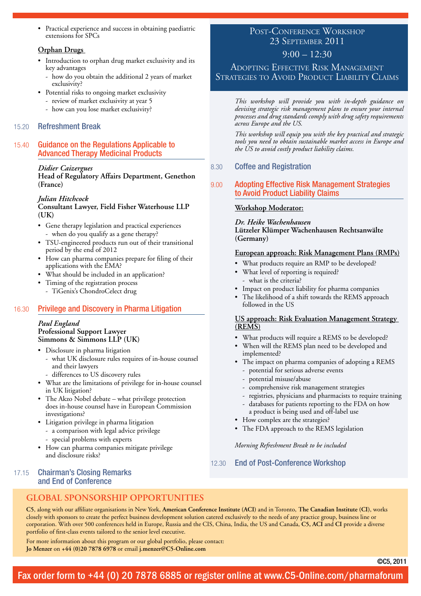• Practical experience and success in obtaining paediatric extensions for SPCs

#### **Orphan Drugs**

- Introduction to orphan drug market exclusivity and its key advantages
	- how do you obtain the additional 2 years of market exclusivity?
- • Potential risks to ongoing market exclusivity
	- review of market exclusivity at year 5
	- how can you lose market exclusivity?

#### 15.20 Refreshment Break

#### 15.40 Guidance on the Regulations Applicable to Advanced Therapy Medicinal Products

#### *Didier Caizergues*

**Head of Regulatory Affairs Department, Genethon (France)** 

#### *Julian Hitchcock*

#### **Consultant Lawyer, Field Fisher Waterhouse LLP (UK)**

- • Gene therapy legislation and practical experiences - when do you qualify as a gene therapy?
- TSU-engineered products run out of their transitional period by the end of 2012
- How can pharma companies prepare for filing of their applications with the EMA?
- What should be included in an application?
- Timing of the registration process
- TiGenix's ChondroCelect drug

#### 16.30 Privilege and Discovery in Pharma Litigation

#### *Paul England*  **Professional Support Lawyer Simmons & Simmons LLP (UK)**

- • Disclosure in pharma litigation
	- what UK disclosure rules requires of in-house counsel and their lawyers
	- differences to US discovery rules
- • What are the limitations of privilege for in-house counsel in UK litigation?
- The Akzo Nobel debate what privilege protection does in-house counsel have in European Commission investigations?
- • Litigation privilege in pharma litigation - a comparison with legal advice privilege
	- special problems with experts
- • How can pharma companies mitigate privilege and disclosure risks?

#### 17.15 Chairman's Closing Remarks and End of Conference

# POST-CONFERENCE WORKSHOP<br>23 SEPTEMBER 2011

#### $9:00 - 12:30$

Adopting Effective Risk Management Strategies to Avoid Product Liability Claims

*This workshop will provide you with in-depth guidance on devising strategic risk management plans to ensure your internal processes and drug standards comply with drug safety requirements across Europe and the US.*

*This workshop will equip you with the key practical and strategic tools you need to obtain sustainable market access in Europe and the US to avoid costly product liability claims.* 

#### 8.30 Coffee and Registration

#### 9.00 Adopting Effective Risk Management Strategies to Avoid Product Liability Claims

#### **Workshop Moderator:**

*Dr. Heike Wachenhausen*  **Lützeler Klümper Wachenhausen Rechtsanwälte (Germany)**

#### **European approach: Risk Management Plans (RMPs)**

- What products require an RMP to be developed?
- What level of reporting is required? - what is the criteria?
- • Impact on product liability for pharma companies
- The likelihood of a shift towards the REMS approach followed in the US

#### **US approach: Risk Evaluation Management Strategy (REMS)**

- What products will require a REMS to be developed?
- When will the REMS plan need to be developed and implemented?
- • The impact on pharma companies of adopting a REMS - potential for serious adverse events
	- potential misuse/abuse
	- comprehensive risk management strategies
	- registries, physicians and pharmacists to require training
	- databases for patients reporting to the FDA on how a product is being used and off-label use
- How complex are the strategies?
- The FDA approach to the REMS legislation

*Morning Refreshment Break to be included*

12.30 End of Post-Conference Workshop

#### **Global Sponsorship Opportunities**

**C5**, along with our affiliate organisations in New York, **American Conference Institute (ACI)** and in Toronto, **The Canadian Institute (CI)**, works closely with sponsors to create the perfect business development solution catered exclusively to the needs of any practice group, business line or corporation. With over 500 conferences held in Europe, Russia and the CIS, China, India, the US and Canada, **C5, ACI** and **CI** provide a diverse portfolio of first-class events tailored to the senior level executive.

For more information about this program or our global portfolio, please contact: **Jo Menzer** on **+44 (0)20 7878 6978** or email **j.menzer@C5-Online.com**

©C5, 2011

## Fax order form to +44 (0) 20 7878 6885 or register online at www.C5-Online.com/pharmaforum